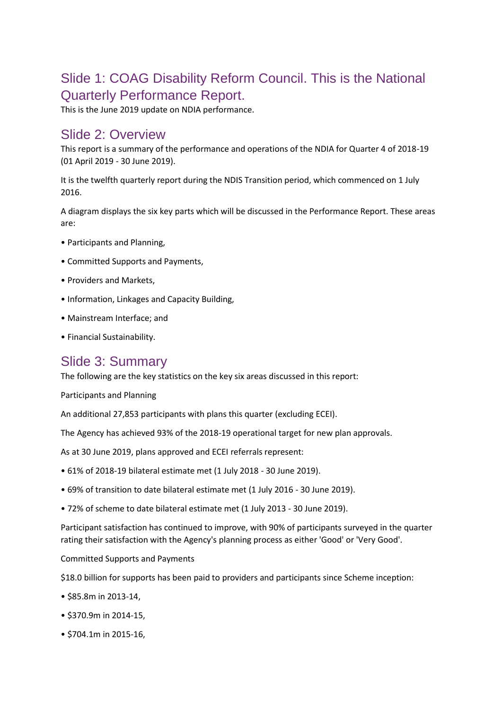## Slide 1: COAG Disability Reform Council. This is the National Quarterly Performance Report.

This is the June 2019 update on NDIA performance.

#### Slide 2: Overview

This report is a summary of the performance and operations of the NDIA for Quarter 4 of 2018-19 (01 April 2019 - 30 June 2019).

It is the twelfth quarterly report during the NDIS Transition period, which commenced on 1 July 2016.

A diagram displays the six key parts which will be discussed in the Performance Report. These areas are:

- Participants and Planning,
- Committed Supports and Payments,
- Providers and Markets,
- Information, Linkages and Capacity Building,
- Mainstream Interface; and
- Financial Sustainability.

## Slide 3: Summary

The following are the key statistics on the key six areas discussed in this report:

Participants and Planning

An additional 27,853 participants with plans this quarter (excluding ECEI).

The Agency has achieved 93% of the 2018-19 operational target for new plan approvals.

As at 30 June 2019, plans approved and ECEI referrals represent:

- 61% of 2018-19 bilateral estimate met (1 July 2018 30 June 2019).
- 69% of transition to date bilateral estimate met (1 July 2016 30 June 2019).
- 72% of scheme to date bilateral estimate met (1 July 2013 30 June 2019).

Participant satisfaction has continued to improve, with 90% of participants surveyed in the quarter rating their satisfaction with the Agency's planning process as either 'Good' or 'Very Good'.

Committed Supports and Payments

\$18.0 billion for supports has been paid to providers and participants since Scheme inception:

- \$85.8m in 2013-14,
- \$370.9m in 2014-15,
- \$704.1m in 2015-16,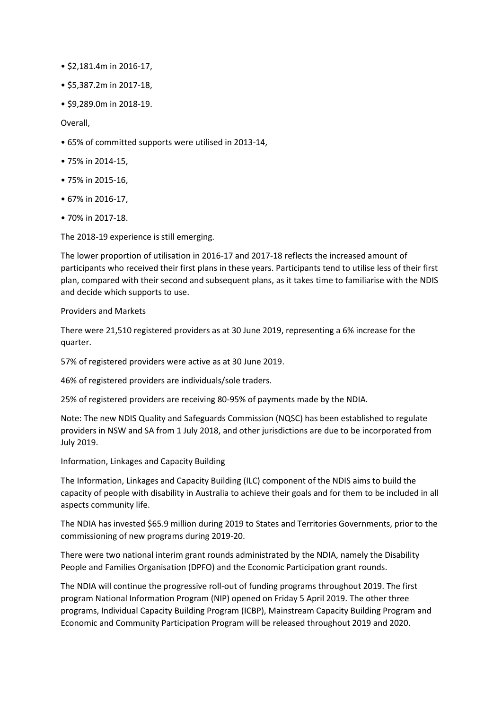- \$2,181.4m in 2016-17,
- \$5,387.2m in 2017-18,
- \$9,289.0m in 2018-19.

Overall,

- 65% of committed supports were utilised in 2013-14,
- 75% in 2014-15,
- 75% in 2015-16,
- 67% in 2016-17,
- 70% in 2017-18.

The 2018-19 experience is still emerging.

The lower proportion of utilisation in 2016-17 and 2017-18 reflects the increased amount of participants who received their first plans in these years. Participants tend to utilise less of their first plan, compared with their second and subsequent plans, as it takes time to familiarise with the NDIS and decide which supports to use.

#### Providers and Markets

There were 21,510 registered providers as at 30 June 2019, representing a 6% increase for the quarter.

57% of registered providers were active as at 30 June 2019.

46% of registered providers are individuals/sole traders.

25% of registered providers are receiving 80-95% of payments made by the NDIA.

Note: The new NDIS Quality and Safeguards Commission (NQSC) has been established to regulate providers in NSW and SA from 1 July 2018, and other jurisdictions are due to be incorporated from July 2019.

Information, Linkages and Capacity Building

The Information, Linkages and Capacity Building (ILC) component of the NDIS aims to build the capacity of people with disability in Australia to achieve their goals and for them to be included in all aspects community life.

The NDIA has invested \$65.9 million during 2019 to States and Territories Governments, prior to the commissioning of new programs during 2019-20.

There were two national interim grant rounds administrated by the NDIA, namely the Disability People and Families Organisation (DPFO) and the Economic Participation grant rounds.

The NDIA will continue the progressive roll-out of funding programs throughout 2019. The first program National Information Program (NIP) opened on Friday 5 April 2019. The other three programs, Individual Capacity Building Program (ICBP), Mainstream Capacity Building Program and Economic and Community Participation Program will be released throughout 2019 and 2020.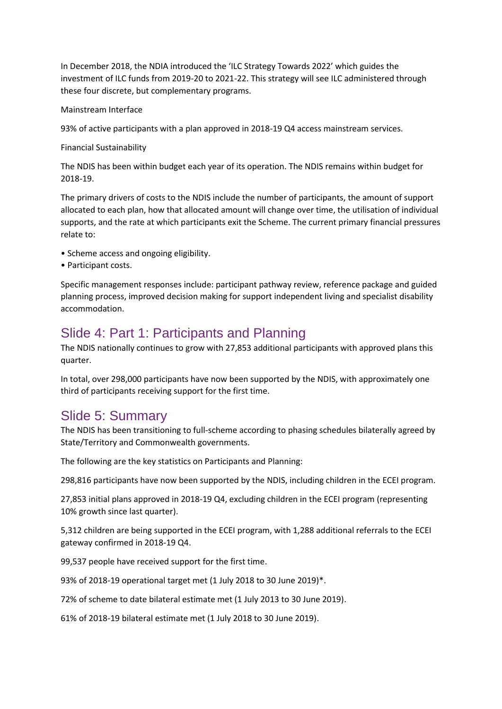In December 2018, the NDIA introduced the 'ILC Strategy Towards 2022' which guides the investment of ILC funds from 2019-20 to 2021-22. This strategy will see ILC administered through these four discrete, but complementary programs.

#### Mainstream Interface

93% of active participants with a plan approved in 2018-19 Q4 access mainstream services.

#### Financial Sustainability

The NDIS has been within budget each year of its operation. The NDIS remains within budget for 2018-19.

The primary drivers of costs to the NDIS include the number of participants, the amount of support allocated to each plan, how that allocated amount will change over time, the utilisation of individual supports, and the rate at which participants exit the Scheme. The current primary financial pressures relate to:

- Scheme access and ongoing eligibility.
- Participant costs.

Specific management responses include: participant pathway review, reference package and guided planning process, improved decision making for support independent living and specialist disability accommodation.

## Slide 4: Part 1: Participants and Planning

The NDIS nationally continues to grow with 27,853 additional participants with approved plans this quarter.

In total, over 298,000 participants have now been supported by the NDIS, with approximately one third of participants receiving support for the first time.

#### Slide 5: Summary

The NDIS has been transitioning to full-scheme according to phasing schedules bilaterally agreed by State/Territory and Commonwealth governments.

The following are the key statistics on Participants and Planning:

298,816 participants have now been supported by the NDIS, including children in the ECEI program.

27,853 initial plans approved in 2018-19 Q4, excluding children in the ECEI program (representing 10% growth since last quarter).

5,312 children are being supported in the ECEI program, with 1,288 additional referrals to the ECEI gateway confirmed in 2018-19 Q4.

99,537 people have received support for the first time.

93% of 2018-19 operational target met (1 July 2018 to 30 June 2019)\*.

72% of scheme to date bilateral estimate met (1 July 2013 to 30 June 2019).

61% of 2018-19 bilateral estimate met (1 July 2018 to 30 June 2019).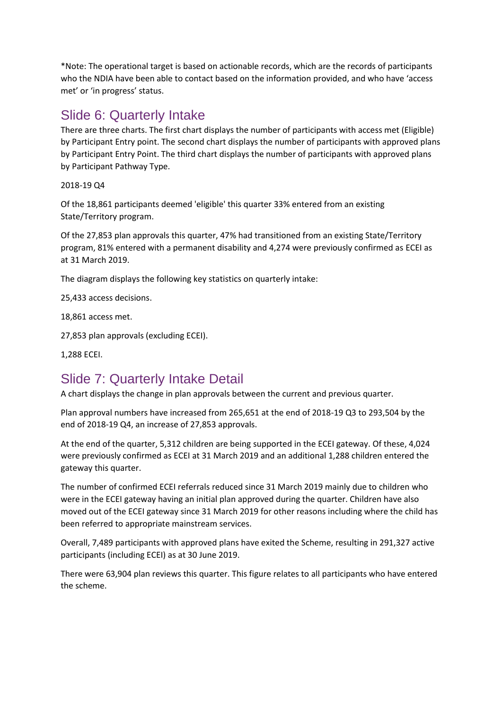\*Note: The operational target is based on actionable records, which are the records of participants who the NDIA have been able to contact based on the information provided, and who have 'access met' or 'in progress' status.

## Slide 6: Quarterly Intake

There are three charts. The first chart displays the number of participants with access met (Eligible) by Participant Entry point. The second chart displays the number of participants with approved plans by Participant Entry Point. The third chart displays the number of participants with approved plans by Participant Pathway Type.

2018-19 Q4

Of the 18,861 participants deemed 'eligible' this quarter 33% entered from an existing State/Territory program.

Of the 27,853 plan approvals this quarter, 47% had transitioned from an existing State/Territory program, 81% entered with a permanent disability and 4,274 were previously confirmed as ECEI as at 31 March 2019.

The diagram displays the following key statistics on quarterly intake:

25,433 access decisions.

18,861 access met.

27,853 plan approvals (excluding ECEI).

1,288 ECEI.

# Slide 7: Quarterly Intake Detail

A chart displays the change in plan approvals between the current and previous quarter.

Plan approval numbers have increased from 265,651 at the end of 2018-19 Q3 to 293,504 by the end of 2018-19 Q4, an increase of 27,853 approvals.

At the end of the quarter, 5,312 children are being supported in the ECEI gateway. Of these, 4,024 were previously confirmed as ECEI at 31 March 2019 and an additional 1,288 children entered the gateway this quarter.

The number of confirmed ECEI referrals reduced since 31 March 2019 mainly due to children who were in the ECEI gateway having an initial plan approved during the quarter. Children have also moved out of the ECEI gateway since 31 March 2019 for other reasons including where the child has been referred to appropriate mainstream services.

Overall, 7,489 participants with approved plans have exited the Scheme, resulting in 291,327 active participants (including ECEI) as at 30 June 2019.

There were 63,904 plan reviews this quarter. This figure relates to all participants who have entered the scheme.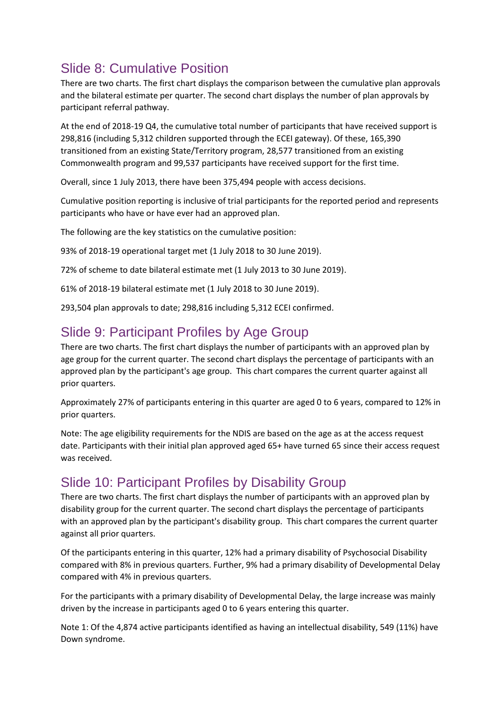# Slide 8: Cumulative Position

There are two charts. The first chart displays the comparison between the cumulative plan approvals and the bilateral estimate per quarter. The second chart displays the number of plan approvals by participant referral pathway.

At the end of 2018-19 Q4, the cumulative total number of participants that have received support is 298,816 (including 5,312 children supported through the ECEI gateway). Of these, 165,390 transitioned from an existing State/Territory program, 28,577 transitioned from an existing Commonwealth program and 99,537 participants have received support for the first time.

Overall, since 1 July 2013, there have been 375,494 people with access decisions.

Cumulative position reporting is inclusive of trial participants for the reported period and represents participants who have or have ever had an approved plan.

The following are the key statistics on the cumulative position:

93% of 2018-19 operational target met (1 July 2018 to 30 June 2019).

72% of scheme to date bilateral estimate met (1 July 2013 to 30 June 2019).

61% of 2018-19 bilateral estimate met (1 July 2018 to 30 June 2019).

293,504 plan approvals to date; 298,816 including 5,312 ECEI confirmed.

## Slide 9: Participant Profiles by Age Group

There are two charts. The first chart displays the number of participants with an approved plan by age group for the current quarter. The second chart displays the percentage of participants with an approved plan by the participant's age group. This chart compares the current quarter against all prior quarters.

Approximately 27% of participants entering in this quarter are aged 0 to 6 years, compared to 12% in prior quarters.

Note: The age eligibility requirements for the NDIS are based on the age as at the access request date. Participants with their initial plan approved aged 65+ have turned 65 since their access request was received.

### Slide 10: Participant Profiles by Disability Group

There are two charts. The first chart displays the number of participants with an approved plan by disability group for the current quarter. The second chart displays the percentage of participants with an approved plan by the participant's disability group. This chart compares the current quarter against all prior quarters.

Of the participants entering in this quarter, 12% had a primary disability of Psychosocial Disability compared with 8% in previous quarters. Further, 9% had a primary disability of Developmental Delay compared with 4% in previous quarters.

For the participants with a primary disability of Developmental Delay, the large increase was mainly driven by the increase in participants aged 0 to 6 years entering this quarter.

Note 1: Of the 4,874 active participants identified as having an intellectual disability, 549 (11%) have Down syndrome.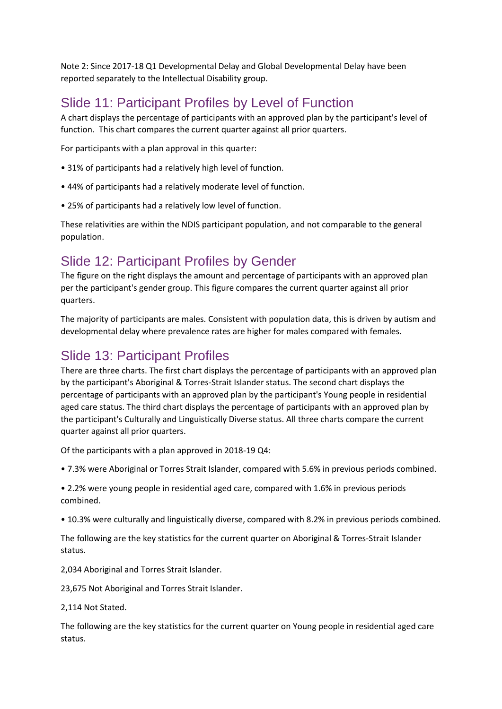Note 2: Since 2017-18 Q1 Developmental Delay and Global Developmental Delay have been reported separately to the Intellectual Disability group.

## Slide 11: Participant Profiles by Level of Function

A chart displays the percentage of participants with an approved plan by the participant's level of function. This chart compares the current quarter against all prior quarters.

For participants with a plan approval in this quarter:

- 31% of participants had a relatively high level of function.
- 44% of participants had a relatively moderate level of function.
- 25% of participants had a relatively low level of function.

These relativities are within the NDIS participant population, and not comparable to the general population.

## Slide 12: Participant Profiles by Gender

The figure on the right displays the amount and percentage of participants with an approved plan per the participant's gender group. This figure compares the current quarter against all prior quarters.

The majority of participants are males. Consistent with population data, this is driven by autism and developmental delay where prevalence rates are higher for males compared with females.

#### Slide 13: Participant Profiles

There are three charts. The first chart displays the percentage of participants with an approved plan by the participant's Aboriginal & Torres-Strait Islander status. The second chart displays the percentage of participants with an approved plan by the participant's Young people in residential aged care status. The third chart displays the percentage of participants with an approved plan by the participant's Culturally and Linguistically Diverse status. All three charts compare the current quarter against all prior quarters.

Of the participants with a plan approved in 2018-19 Q4:

• 7.3% were Aboriginal or Torres Strait Islander, compared with 5.6% in previous periods combined.

• 2.2% were young people in residential aged care, compared with 1.6% in previous periods combined.

• 10.3% were culturally and linguistically diverse, compared with 8.2% in previous periods combined.

The following are the key statistics for the current quarter on Aboriginal & Torres-Strait Islander status.

2,034 Aboriginal and Torres Strait Islander.

23,675 Not Aboriginal and Torres Strait Islander.

2,114 Not Stated.

The following are the key statistics for the current quarter on Young people in residential aged care status.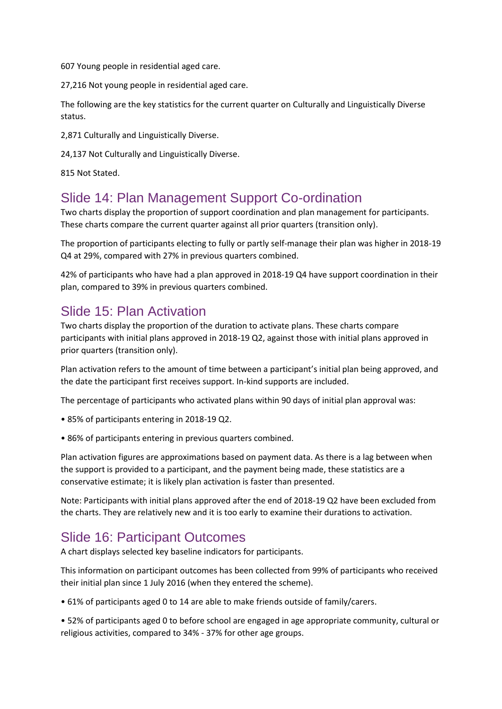607 Young people in residential aged care.

27,216 Not young people in residential aged care.

The following are the key statistics for the current quarter on Culturally and Linguistically Diverse status.

2,871 Culturally and Linguistically Diverse.

24,137 Not Culturally and Linguistically Diverse.

815 Not Stated.

### Slide 14: Plan Management Support Co-ordination

Two charts display the proportion of support coordination and plan management for participants. These charts compare the current quarter against all prior quarters (transition only).

The proportion of participants electing to fully or partly self-manage their plan was higher in 2018-19 Q4 at 29%, compared with 27% in previous quarters combined.

42% of participants who have had a plan approved in 2018-19 Q4 have support coordination in their plan, compared to 39% in previous quarters combined.

## Slide 15: Plan Activation

Two charts display the proportion of the duration to activate plans. These charts compare participants with initial plans approved in 2018-19 Q2, against those with initial plans approved in prior quarters (transition only).

Plan activation refers to the amount of time between a participant's initial plan being approved, and the date the participant first receives support. In-kind supports are included.

The percentage of participants who activated plans within 90 days of initial plan approval was:

- 85% of participants entering in 2018-19 Q2.
- 86% of participants entering in previous quarters combined.

Plan activation figures are approximations based on payment data. As there is a lag between when the support is provided to a participant, and the payment being made, these statistics are a conservative estimate; it is likely plan activation is faster than presented.

Note: Participants with initial plans approved after the end of 2018-19 Q2 have been excluded from the charts. They are relatively new and it is too early to examine their durations to activation.

## Slide 16: Participant Outcomes

A chart displays selected key baseline indicators for participants.

This information on participant outcomes has been collected from 99% of participants who received their initial plan since 1 July 2016 (when they entered the scheme).

• 61% of participants aged 0 to 14 are able to make friends outside of family/carers.

• 52% of participants aged 0 to before school are engaged in age appropriate community, cultural or religious activities, compared to 34% - 37% for other age groups.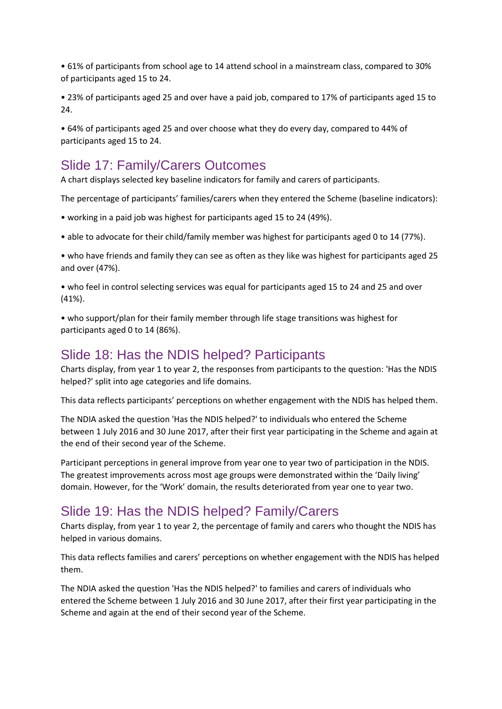• 61% of participants from school age to 14 attend school in a mainstream class, compared to 30% of participants aged 15 to 24.

• 23% of participants aged 25 and over have a paid job, compared to 17% of participants aged 15 to 24.

• 64% of participants aged 25 and over choose what they do every day, compared to 44% of participants aged 15 to 24.

#### Slide 17: Family/Carers Outcomes

A chart displays selected key baseline indicators for family and carers of participants.

The percentage of participants' families/carers when they entered the Scheme (baseline indicators):

• working in a paid job was highest for participants aged 15 to 24 (49%).

• able to advocate for their child/family member was highest for participants aged 0 to 14 (77%).

• who have friends and family they can see as often as they like was highest for participants aged 25 and over (47%).

• who feel in control selecting services was equal for participants aged 15 to 24 and 25 and over (41%).

• who support/plan for their family member through life stage transitions was highest for participants aged 0 to 14 (86%).

#### Slide 18: Has the NDIS helped? Participants

Charts display, from year 1 to year 2, the responses from participants to the question: 'Has the NDIS helped?' split into age categories and life domains.

This data reflects participants' perceptions on whether engagement with the NDIS has helped them.

The NDIA asked the question 'Has the NDIS helped?' to individuals who entered the Scheme between 1 July 2016 and 30 June 2017, after their first year participating in the Scheme and again at the end of their second year of the Scheme.

Participant perceptions in general improve from year one to year two of participation in the NDIS. The greatest improvements across most age groups were demonstrated within the 'Daily living' domain. However, for the 'Work' domain, the results deteriorated from year one to year two.

### Slide 19: Has the NDIS helped? Family/Carers

Charts display, from year 1 to year 2, the percentage of family and carers who thought the NDIS has helped in various domains.

This data reflects families and carers' perceptions on whether engagement with the NDIS has helped them.

The NDIA asked the question 'Has the NDIS helped?' to families and carers of individuals who entered the Scheme between 1 July 2016 and 30 June 2017, after their first year participating in the Scheme and again at the end of their second year of the Scheme.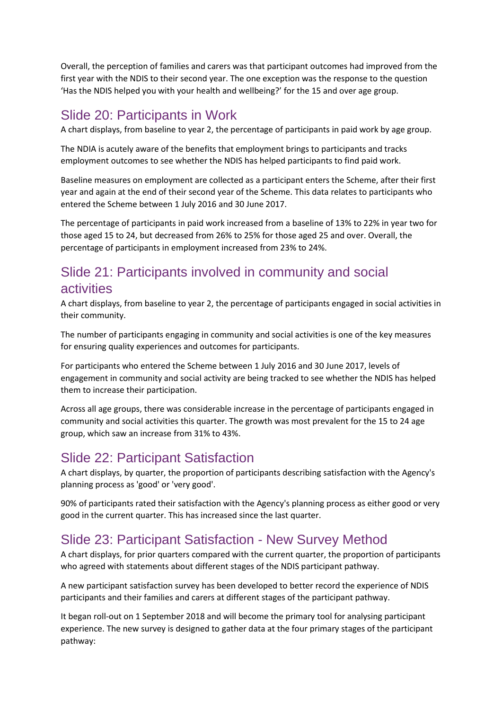Overall, the perception of families and carers was that participant outcomes had improved from the first year with the NDIS to their second year. The one exception was the response to the question 'Has the NDIS helped you with your health and wellbeing?' for the 15 and over age group.

#### Slide 20: Participants in Work

A chart displays, from baseline to year 2, the percentage of participants in paid work by age group.

The NDIA is acutely aware of the benefits that employment brings to participants and tracks employment outcomes to see whether the NDIS has helped participants to find paid work.

Baseline measures on employment are collected as a participant enters the Scheme, after their first year and again at the end of their second year of the Scheme. This data relates to participants who entered the Scheme between 1 July 2016 and 30 June 2017.

The percentage of participants in paid work increased from a baseline of 13% to 22% in year two for those aged 15 to 24, but decreased from 26% to 25% for those aged 25 and over. Overall, the percentage of participants in employment increased from 23% to 24%.

# Slide 21: Participants involved in community and social activities

A chart displays, from baseline to year 2, the percentage of participants engaged in social activities in their community.

The number of participants engaging in community and social activities is one of the key measures for ensuring quality experiences and outcomes for participants.

For participants who entered the Scheme between 1 July 2016 and 30 June 2017, levels of engagement in community and social activity are being tracked to see whether the NDIS has helped them to increase their participation.

Across all age groups, there was considerable increase in the percentage of participants engaged in community and social activities this quarter. The growth was most prevalent for the 15 to 24 age group, which saw an increase from 31% to 43%.

## Slide 22: Participant Satisfaction

A chart displays, by quarter, the proportion of participants describing satisfaction with the Agency's planning process as 'good' or 'very good'.

90% of participants rated their satisfaction with the Agency's planning process as either good or very good in the current quarter. This has increased since the last quarter.

# Slide 23: Participant Satisfaction - New Survey Method

A chart displays, for prior quarters compared with the current quarter, the proportion of participants who agreed with statements about different stages of the NDIS participant pathway.

A new participant satisfaction survey has been developed to better record the experience of NDIS participants and their families and carers at different stages of the participant pathway.

It began roll-out on 1 September 2018 and will become the primary tool for analysing participant experience. The new survey is designed to gather data at the four primary stages of the participant pathway: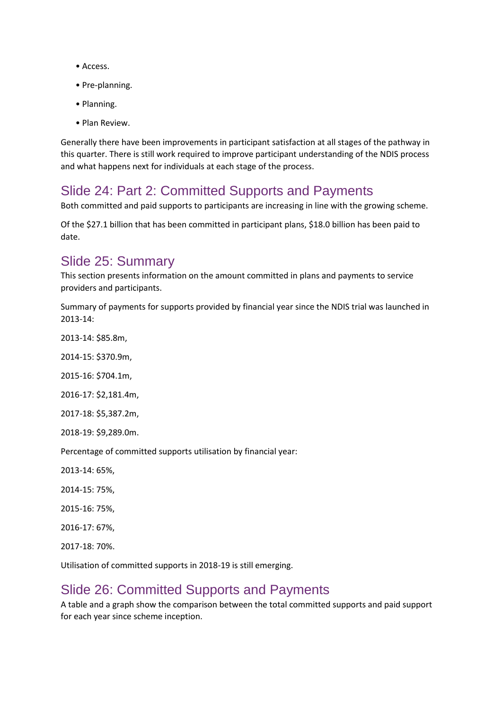- Access.
- Pre-planning.
- Planning.
- Plan Review.

Generally there have been improvements in participant satisfaction at all stages of the pathway in this quarter. There is still work required to improve participant understanding of the NDIS process and what happens next for individuals at each stage of the process.

#### Slide 24: Part 2: Committed Supports and Payments

Both committed and paid supports to participants are increasing in line with the growing scheme.

Of the \$27.1 billion that has been committed in participant plans, \$18.0 billion has been paid to date.

## Slide 25: Summary

This section presents information on the amount committed in plans and payments to service providers and participants.

Summary of payments for supports provided by financial year since the NDIS trial was launched in 2013-14:

2013-14: \$85.8m,

2014-15: \$370.9m,

2015-16: \$704.1m,

2016-17: \$2,181.4m,

2017-18: \$5,387.2m,

2018-19: \$9,289.0m.

Percentage of committed supports utilisation by financial year:

2013-14: 65%,

2014-15: 75%,

2015-16: 75%,

2016-17: 67%,

2017-18: 70%.

Utilisation of committed supports in 2018-19 is still emerging.

#### Slide 26: Committed Supports and Payments

A table and a graph show the comparison between the total committed supports and paid support for each year since scheme inception.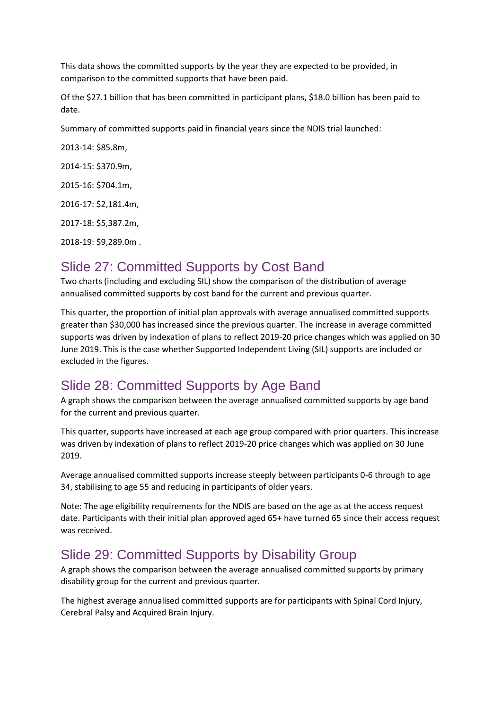This data shows the committed supports by the year they are expected to be provided, in comparison to the committed supports that have been paid.

Of the \$27.1 billion that has been committed in participant plans, \$18.0 billion has been paid to date.

Summary of committed supports paid in financial years since the NDIS trial launched:

2013-14: \$85.8m, 2014-15: \$370.9m,

2015-16: \$704.1m,

2016-17: \$2,181.4m,

2017-18: \$5,387.2m,

2018-19: \$9,289.0m .

## Slide 27: Committed Supports by Cost Band

Two charts (including and excluding SIL) show the comparison of the distribution of average annualised committed supports by cost band for the current and previous quarter.

This quarter, the proportion of initial plan approvals with average annualised committed supports greater than \$30,000 has increased since the previous quarter. The increase in average committed supports was driven by indexation of plans to reflect 2019-20 price changes which was applied on 30 June 2019. This is the case whether Supported Independent Living (SIL) supports are included or excluded in the figures.

## Slide 28: Committed Supports by Age Band

A graph shows the comparison between the average annualised committed supports by age band for the current and previous quarter.

This quarter, supports have increased at each age group compared with prior quarters. This increase was driven by indexation of plans to reflect 2019-20 price changes which was applied on 30 June 2019.

Average annualised committed supports increase steeply between participants 0-6 through to age 34, stabilising to age 55 and reducing in participants of older years.

Note: The age eligibility requirements for the NDIS are based on the age as at the access request date. Participants with their initial plan approved aged 65+ have turned 65 since their access request was received.

## Slide 29: Committed Supports by Disability Group

A graph shows the comparison between the average annualised committed supports by primary disability group for the current and previous quarter.

The highest average annualised committed supports are for participants with Spinal Cord Injury, Cerebral Palsy and Acquired Brain Injury.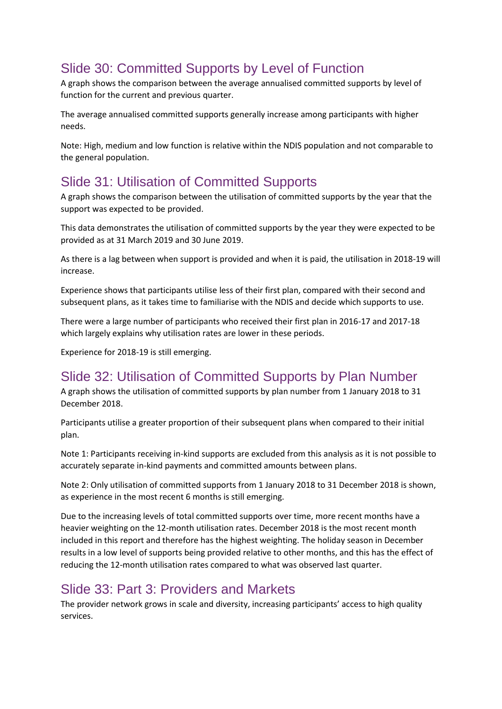# Slide 30: Committed Supports by Level of Function

A graph shows the comparison between the average annualised committed supports by level of function for the current and previous quarter.

The average annualised committed supports generally increase among participants with higher needs.

Note: High, medium and low function is relative within the NDIS population and not comparable to the general population.

# Slide 31: Utilisation of Committed Supports

A graph shows the comparison between the utilisation of committed supports by the year that the support was expected to be provided.

This data demonstrates the utilisation of committed supports by the year they were expected to be provided as at 31 March 2019 and 30 June 2019.

As there is a lag between when support is provided and when it is paid, the utilisation in 2018-19 will increase.

Experience shows that participants utilise less of their first plan, compared with their second and subsequent plans, as it takes time to familiarise with the NDIS and decide which supports to use.

There were a large number of participants who received their first plan in 2016-17 and 2017-18 which largely explains why utilisation rates are lower in these periods.

Experience for 2018-19 is still emerging.

## Slide 32: Utilisation of Committed Supports by Plan Number

A graph shows the utilisation of committed supports by plan number from 1 January 2018 to 31 December 2018.

Participants utilise a greater proportion of their subsequent plans when compared to their initial plan.

Note 1: Participants receiving in-kind supports are excluded from this analysis as it is not possible to accurately separate in-kind payments and committed amounts between plans.

Note 2: Only utilisation of committed supports from 1 January 2018 to 31 December 2018 is shown, as experience in the most recent 6 months is still emerging.

Due to the increasing levels of total committed supports over time, more recent months have a heavier weighting on the 12-month utilisation rates. December 2018 is the most recent month included in this report and therefore has the highest weighting. The holiday season in December results in a low level of supports being provided relative to other months, and this has the effect of reducing the 12-month utilisation rates compared to what was observed last quarter.

### Slide 33: Part 3: Providers and Markets

The provider network grows in scale and diversity, increasing participants' access to high quality services.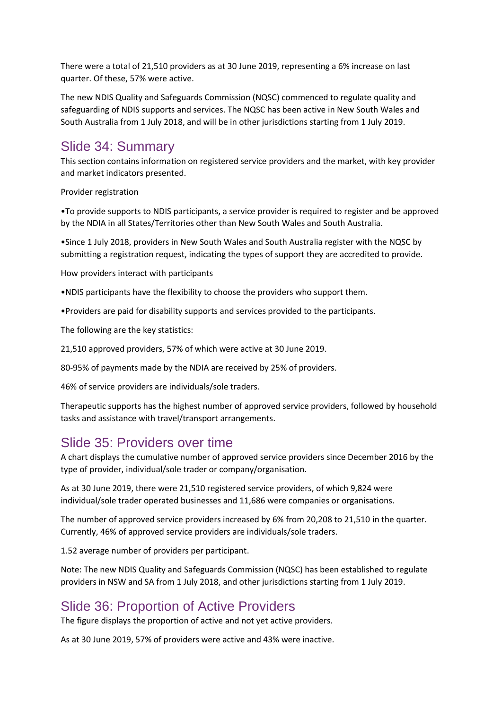There were a total of 21,510 providers as at 30 June 2019, representing a 6% increase on last quarter. Of these, 57% were active.

The new NDIS Quality and Safeguards Commission (NQSC) commenced to regulate quality and safeguarding of NDIS supports and services. The NQSC has been active in New South Wales and South Australia from 1 July 2018, and will be in other jurisdictions starting from 1 July 2019.

#### Slide 34: Summary

This section contains information on registered service providers and the market, with key provider and market indicators presented.

Provider registration

•To provide supports to NDIS participants, a service provider is required to register and be approved by the NDIA in all States/Territories other than New South Wales and South Australia.

•Since 1 July 2018, providers in New South Wales and South Australia register with the NQSC by submitting a registration request, indicating the types of support they are accredited to provide.

How providers interact with participants

•NDIS participants have the flexibility to choose the providers who support them.

•Providers are paid for disability supports and services provided to the participants.

The following are the key statistics:

21,510 approved providers, 57% of which were active at 30 June 2019.

80-95% of payments made by the NDIA are received by 25% of providers.

46% of service providers are individuals/sole traders.

Therapeutic supports has the highest number of approved service providers, followed by household tasks and assistance with travel/transport arrangements.

#### Slide 35: Providers over time

A chart displays the cumulative number of approved service providers since December 2016 by the type of provider, individual/sole trader or company/organisation.

As at 30 June 2019, there were 21,510 registered service providers, of which 9,824 were individual/sole trader operated businesses and 11,686 were companies or organisations.

The number of approved service providers increased by 6% from 20,208 to 21,510 in the quarter. Currently, 46% of approved service providers are individuals/sole traders.

1.52 average number of providers per participant.

Note: The new NDIS Quality and Safeguards Commission (NQSC) has been established to regulate providers in NSW and SA from 1 July 2018, and other jurisdictions starting from 1 July 2019.

#### Slide 36: Proportion of Active Providers

The figure displays the proportion of active and not yet active providers.

As at 30 June 2019, 57% of providers were active and 43% were inactive.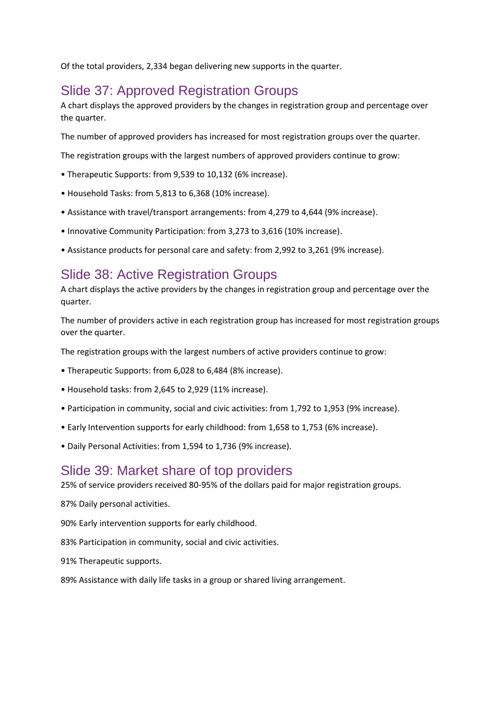Of the total providers, 2,334 began delivering new supports in the quarter.

#### Slide 37: Approved Registration Groups

A chart displays the approved providers by the changes in registration group and percentage over the quarter.

The number of approved providers has increased for most registration groups over the quarter.

The registration groups with the largest numbers of approved providers continue to grow:

- Therapeutic Supports: from 9,539 to 10,132 (6% increase).
- Household Tasks: from 5,813 to 6,368 (10% increase).
- Assistance with travel/transport arrangements: from 4,279 to 4,644 (9% increase).
- Innovative Community Participation: from 3,273 to 3,616 (10% increase).
- Assistance products for personal care and safety: from 2,992 to 3,261 (9% increase).

### Slide 38: Active Registration Groups

A chart displays the active providers by the changes in registration group and percentage over the quarter.

The number of providers active in each registration group has increased for most registration groups over the quarter.

The registration groups with the largest numbers of active providers continue to grow:

- Therapeutic Supports: from 6,028 to 6,484 (8% increase).
- Household tasks: from 2,645 to 2,929 (11% increase).
- Participation in community, social and civic activities: from 1,792 to 1,953 (9% increase).
- Early Intervention supports for early childhood: from 1,658 to 1,753 (6% increase).
- Daily Personal Activities: from 1,594 to 1,736 (9% increase).

#### Slide 39: Market share of top providers

25% of service providers received 80-95% of the dollars paid for major registration groups.

87% Daily personal activities.

90% Early intervention supports for early childhood.

- 83% Participation in community, social and civic activities.
- 91% Therapeutic supports.
- 89% Assistance with daily life tasks in a group or shared living arrangement.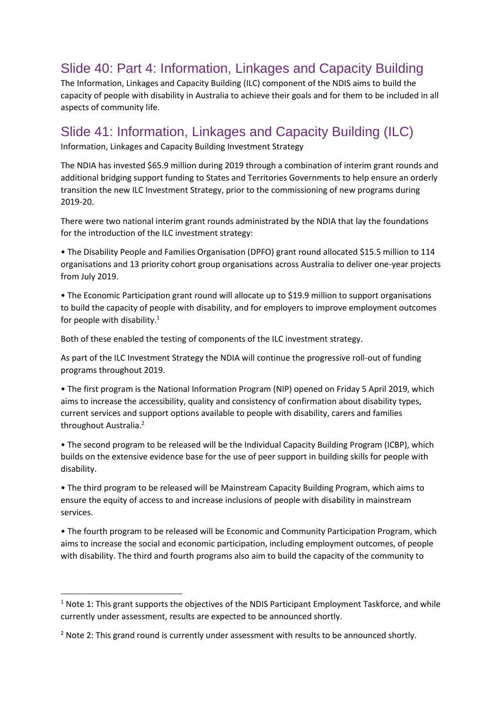# Slide 40: Part 4: Information, Linkages and Capacity Building

The Information, Linkages and Capacity Building (ILC) component of the NDIS aims to build the capacity of people with disability in Australia to achieve their goals and for them to be included in all aspects of community life.

## Slide 41: Information, Linkages and Capacity Building (ILC)

Information, Linkages and Capacity Building Investment Strategy

The NDIA has invested \$65.9 million during 2019 through a combination of interim grant rounds and additional bridging support funding to States and Territories Governments to help ensure an orderly transition the new ILC Investment Strategy, prior to the commissioning of new programs during 2019-20.

There were two national interim grant rounds administrated by the NDIA that lay the foundations for the introduction of the ILC investment strategy:

• The Disability People and Families Organisation (DPFO) grant round allocated \$15.5 million to 114 organisations and 13 priority cohort group organisations across Australia to deliver one-year projects from July 2019.

• The Economic Participation grant round will allocate up to \$19.9 million to support organisations to build the capacity of people with disability, and for employers to improve employment outcomes for people with disability. $1$ 

Both of these enabled the testing of components of the ILC investment strategy.

As part of the ILC Investment Strategy the NDIA will continue the progressive roll-out of funding programs throughout 2019.

• The first program is the National Information Program (NIP) opened on Friday 5 April 2019, which aims to increase the accessibility, quality and consistency of confirmation about disability types, current services and support options available to people with disability, carers and families throughout Australia.<sup>2</sup>

• The second program to be released will be the Individual Capacity Building Program (ICBP), which builds on the extensive evidence base for the use of peer support in building skills for people with disability.

• The third program to be released will be Mainstream Capacity Building Program, which aims to ensure the equity of access to and increase inclusions of people with disability in mainstream services.

• The fourth program to be released will be Economic and Community Participation Program, which aims to increase the social and economic participation, including employment outcomes, of people with disability. The third and fourth programs also aim to build the capacity of the community to

**.** 

 $1$  Note 1: This grant supports the objectives of the NDIS Participant Employment Taskforce, and while currently under assessment, results are expected to be announced shortly.

 $2$  Note 2: This grand round is currently under assessment with results to be announced shortly.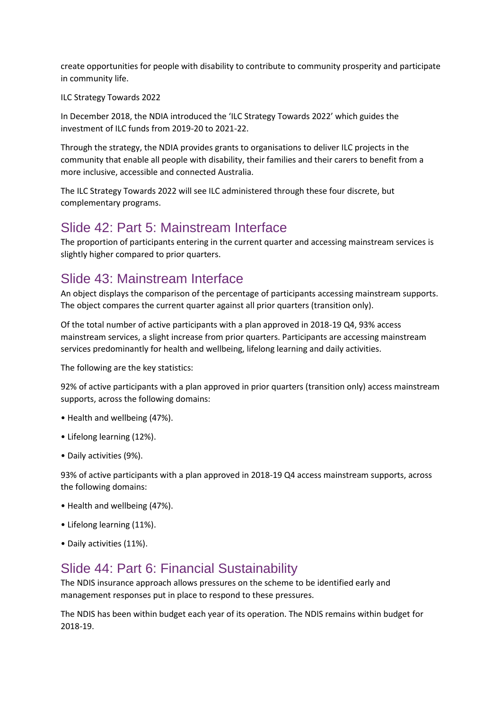create opportunities for people with disability to contribute to community prosperity and participate in community life.

ILC Strategy Towards 2022

In December 2018, the NDIA introduced the 'ILC Strategy Towards 2022' which guides the investment of ILC funds from 2019-20 to 2021-22.

Through the strategy, the NDIA provides grants to organisations to deliver ILC projects in the community that enable all people with disability, their families and their carers to benefit from a more inclusive, accessible and connected Australia.

The ILC Strategy Towards 2022 will see ILC administered through these four discrete, but complementary programs.

## Slide 42: Part 5: Mainstream Interface

The proportion of participants entering in the current quarter and accessing mainstream services is slightly higher compared to prior quarters.

## Slide 43: Mainstream Interface

An object displays the comparison of the percentage of participants accessing mainstream supports. The object compares the current quarter against all prior quarters (transition only).

Of the total number of active participants with a plan approved in 2018-19 Q4, 93% access mainstream services, a slight increase from prior quarters. Participants are accessing mainstream services predominantly for health and wellbeing, lifelong learning and daily activities.

The following are the key statistics:

92% of active participants with a plan approved in prior quarters (transition only) access mainstream supports, across the following domains:

- Health and wellbeing (47%).
- Lifelong learning (12%).
- Daily activities (9%).

93% of active participants with a plan approved in 2018-19 Q4 access mainstream supports, across the following domains:

- Health and wellbeing (47%).
- Lifelong learning (11%).
- Daily activities (11%).

## Slide 44: Part 6: Financial Sustainability

The NDIS insurance approach allows pressures on the scheme to be identified early and management responses put in place to respond to these pressures.

The NDIS has been within budget each year of its operation. The NDIS remains within budget for 2018-19.